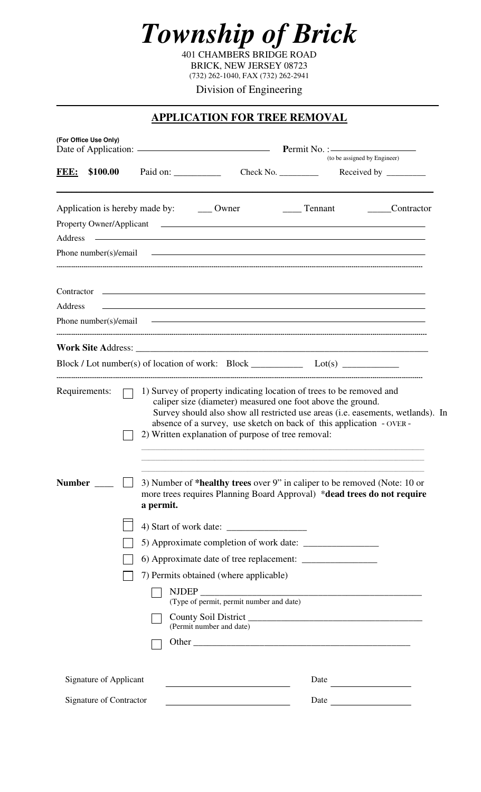

401 CHAMBERS BRIDGE ROAD BRICK, NEW JERSEY 08723 (732) 262-1040, FAX (732) 262-2941

Division of Engineering **\_\_\_\_\_\_\_\_\_\_\_\_\_\_\_\_\_\_\_\_\_\_\_\_\_\_\_\_\_\_\_\_\_\_\_\_\_\_\_\_\_\_\_\_\_\_\_\_\_\_\_\_\_\_\_\_\_\_\_\_\_\_\_\_\_\_\_\_\_\_\_\_\_\_\_\_**

## **APPLICATION FOR TREE REMOVAL**

| (For Office Use Only)                                    |  |                                                                                                                                                                                                                                                                                                                                 |                                          |               |                                                                                                                                                                                                                                 |  |
|----------------------------------------------------------|--|---------------------------------------------------------------------------------------------------------------------------------------------------------------------------------------------------------------------------------------------------------------------------------------------------------------------------------|------------------------------------------|---------------|---------------------------------------------------------------------------------------------------------------------------------------------------------------------------------------------------------------------------------|--|
| FEE:<br>\$100.00                                         |  | Paid on:                                                                                                                                                                                                                                                                                                                        |                                          | Check No.     | (to be assigned by Engineer)<br>Received by $\_\_$                                                                                                                                                                              |  |
| Address                                                  |  | Application is hereby made by: _________ Owner<br><u>state and the state of the state of the state of the state of the state of the state of the state of the state of the state of the state of the state of the state of the state of the state of the state of the state of the</u><br>Phone number(s)/email $\qquad \qquad$ |                                          | _____ Tennant | Contractor                                                                                                                                                                                                                      |  |
| Address                                                  |  | Phone number(s)/email $\qquad \qquad$                                                                                                                                                                                                                                                                                           |                                          |               | <u> 1989 - Johann Stoff, amerikansk politiker (* 1908)</u>                                                                                                                                                                      |  |
|                                                          |  |                                                                                                                                                                                                                                                                                                                                 |                                          |               | $Block / Lot number(s) of location of work: Block _______ Lot(s) _______$                                                                                                                                                       |  |
| Requirements:                                            |  | caliper size (diameter) measured one foot above the ground.<br>2) Written explanation of purpose of tree removal:                                                                                                                                                                                                               |                                          |               | 1) Survey of property indicating location of trees to be removed and<br>Survey should also show all restricted use areas (i.e. easements, wetlands). In<br>absence of a survey, use sketch on back of this application - OVER - |  |
| <b>Number</b>                                            |  | a permit.<br>7) Permits obtained (where applicable)<br><b>NJDEP</b>                                                                                                                                                                                                                                                             |                                          |               | 3) Number of *healthy trees over 9" in caliper to be removed (Note: 10 or<br>more trees requires Planning Board Approval) *dead trees do not require                                                                            |  |
|                                                          |  | (Permit number and date)                                                                                                                                                                                                                                                                                                        | (Type of permit, permit number and date) |               |                                                                                                                                                                                                                                 |  |
| Signature of Applicant<br><b>Signature of Contractor</b> |  |                                                                                                                                                                                                                                                                                                                                 |                                          | Date<br>Date  |                                                                                                                                                                                                                                 |  |